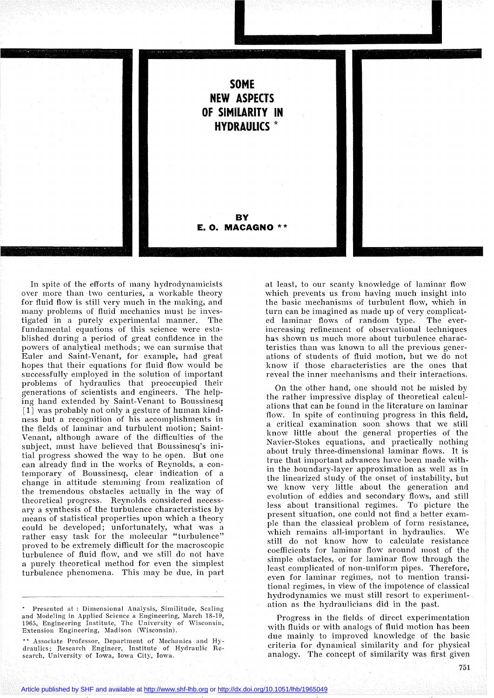

In spite of the efforts of many hydrodynamicists over more than two centuries, a workable theory for fluid flow is still very much in the making, and many problems of fluid mechanics must he investigated in a purely experimental manner. The fundamental equations of this science were established during a period of great confidence in the powers of analytical methods; we can surmise that Euler and Saint-Venant, for example, had great hopes that their equations for fluid flow would be successfully employed in the solution of important prohlems of hydraulics that preoccupied their generations of scientists and engineers. The helping hand extended by Saint-Venant to Boussinesq [1] was probably not only a gesture of human kindness but a recognition of his accomplishments in the fields of laminar and turbulent motion; Saint-Venant, although aware of the difficulties of the subject, must have believed that Boussinesq's initial progress showed the way to be open. But one can already find in the works of Reynolds, a contemporary of Boussinesq, clear indication of a change in attitude stemming from realization of the tremendous obstacles actually in the way of theoretical progress. Reynolds considered necessary a synthesis of the turbulence characteristics by means of statistical properties upon which a theory could be developed; unfortunately, what was a rather easy task for the molecular "turbulence" proved to be extremely difficult for the macroscopic turbulence of fluid flow, and we still do not have a purely theoretical method for even the simplest turbulence phenomena. This may be due, in part

Presented at : Dimensional Analysis, Similitude, Scaling and Modeling in Applied Science & Engineering, March 18-19, 1965, Engineering Institute, The University of Wisconsin, Extension Engineering, Madison (Wisconsin).

\* Associate Professor, Department of Mechanics and Hydraulics; Research Engineer, Institute of Hydraulie Research, University of Iowa, Iowa City, Iowa.

at least, to our scanty knowledge of laminar flow which prevents us from having much insight into the basic mechanisms of turbulent flow, which in turn can be imagined as made up of very complicated laminar flows of random type. The everincreasing refinement of observational techniques has shown us much more about turbulence characteristics than was known to aIl the previous generations of students of fluid motion, but we do not know if those characteristics are the ones that reveal the inner mechanisms and their interactions.

On the other hand, one should not be misled by the rather impressive display of theoretical calculations that can be found in the literature on laminar flow. In spite of continuing progress in this field, a critical examination soon shows that we still know little about the general properties of the Navier-Stokes equations, and praetically nothing about truly three-dimensional laminar flows. It is true that important advances have been made \vithin the boundary-Iayer approximation as weIl as in the linearized study of the onset of instability, but we know very little about the generation and evolution of eddies and secondary flows, and still less about transitional regimes. To picture the present situation, one could not find a better exampIe than the classical problem of form resistance, which remains all-important in hydraulics. We still do not know how to calculate resistance coefficients for laminar flow around most of the simple obstacles, or for laminar flow through the least complicated of non-uniform pipes. Therefore, even for laminar regimes, not to mention transitional regimes, in view of the impotence of classical hydrodynamics we must still resort to experimentation as the hydraulicians did in the past.

Progress in the fields of direct experimentation with fluids or with analogs of fluid motion has been due mainly to improved knowledge of the basic criteria for dynamical similarity and for physical analogy. The concept of similarity was first given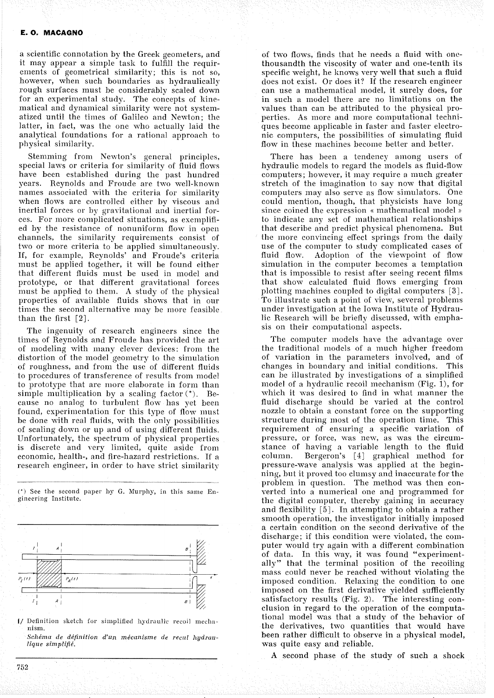a scientific connotation by the Greek geometers, and it mayappear a simple task to fulfill the requirements of geometrical similarity; this is not so, however, when such boundaries as hydraulically rough surfaces must be considerably scaled down for an experimental study. The concepts of kinematical and dynamical similarity were not systematized until the times of Galileo and Newton; the latter, in fact, was the one who actually laid the analytical foundations for a rational approach to physical similarity.

Stemming from Newton's general principles, special laws or criteria for similarity of fluid flows have been established during the past hundred years. Reynolds and Froude are two well-known names associated with the criteria for similarity when flows are controlled either by viscous and inertial forces or hy gravitational and inertial forces. For more complicated situations, as exemplified by the resistance of nonuniform flow in open channels, the similarity requirements consist of two or more criteria to be applied simultaneously. If, for example, Reynolds' and Froude's criteria must be applied together, it will be found either that different fluids must be used in model and prototype, or that different gravitational forces must be applied to them. A study of the physical properties of available fluids shows that in our times the second alternative mav be more feasible than the first  $\lceil 2 \rceil$ .

The ingenuity of research engineers since the times of Reynolds and Froude has provided the art of modeling with many clever devices: from the distortion of the model geometry to the simulation of roughness, and from the use of different fluids to procedures of transference of results from model to prototype that are more elaborate in form than simple multiplication by a scaling factor  $(*)$ . Because no analog to turbulent flow has yet been found, experimentation for this type of flow must be done with real fluids, with the only possibilities of scaling down or up and of using different fluids. Unfortunately, the spectrum of physical properties is discrete and very limited, quite aside from economic, health-, and fire-hazard restrictions. If a research engineer, in order to have strict similarity

 $(*)$  See the second paper by G. Murphy, in this same Engineering Institute.



I/ Definition sketch for simplified hydraulic recoil mechanism.

*Schéma de déjinition d'Un mécanisme de recul hydraulique simplifié.*

of two flows, finds that he needs a fluid with onethousandth the viscosity of water and one-tenth its specific weight, he knows very weIl that such a fluid does not exist. Or does it? If the research engineer can use a mathematical model, it surely does, for in such a model there are no limitations on the values than can be attributed to the physical properties. As more and more computational techniques become applicable in faster and faster electronie computers, the possibilities of simulating fluid flow in these machines become better and better.

There has heen a tendency among users of hydraulic models ta regard the models as fluid-flow computers; however, it may require a much greater stretch of the imagination to say now that digital computers may also serve as flow simulators. One could mention, though, that physicists have long since coined the expression  $\ast$  mathematical model  $\ast$ to indicate any set of mathematical relationships that describe and predict physical phenomena. But the more convincing effect springs from the daily use of the computer to study complicated cases of fluid flow. Adoption of the viewpoint of flow simulation in the computer becomes a temptation that is impossible to resist after seeing recent films that show calculated fluid flows emerging from plotting machines coupled to digital computers [3]. To illustrate such a point of view, several problems under investigation at the Iowa Institute of Hydraulic Research will be briefly discussed, with emphasis on their computational aspects.

The computer models have the advantage over the traditional models of a much higher freedom of variation in the parameters involved, and of changes in boundary and initial conditions. This can he illustrated by investigations of a simplified model of a hydraulic recoil mechanism (Fig. 1), for which it was desired to find in what manner the fluid discharge should be varied at the control nozzle to obtain a constant force on the supporting structure during most of the operation time. This requirement of ensuring a specific variation of pressure, or force, was new, as was the circumstance of having a variable length to the fluid column. Bergeron's [4] graphical method for pressure-wave analysis was applied at the beginning, but it proved too clumsy and inaccurate for the problem in question. The method was then converted into a numerical one and programmed for the digital computer, thereby gaining in accuracy and flexibility  $\lceil 5 \rceil$ . In attempting to obtain a rather smooth operation, the investigator initially imposed a certain condition on the second derivative of the discharge; if this condition were violated, the computer would try again with a different combination of data. In this way, it was found "experimentally" that the terminal position of the recoiling mass could never be reached without violating the imposed condition. Relaxing the condition to one imposed on the first derivative yielded sufficiently satisfactory results (Fig. 2). The interesting conclusion in regard to the operation of the computational model was that a studv of the behavior of the derivatives, two quantities that would have been rather difficult to observe in a physical model, was quite easy and reliable.

A second phase of the study of such a shock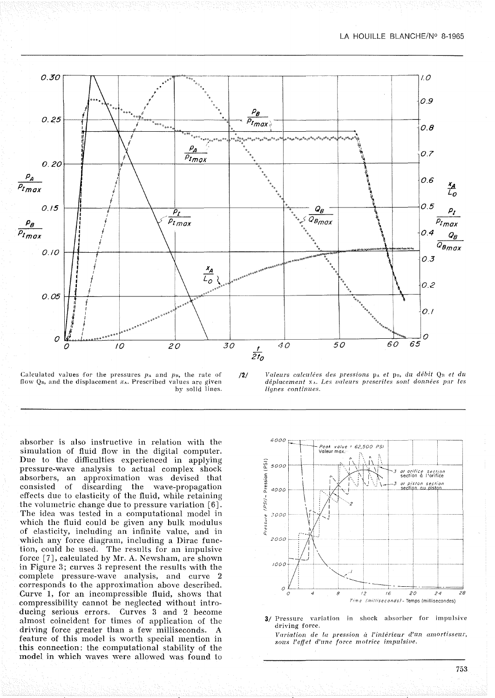

Calculated values for the pressures  $p_A$  and  $p_B$ , the rate of flow  $Q_B$ , and the displacement  $x_A$ . Prescribed values are given by solid lines.



/2/ *Valeurs calculées des pressions* PA *et* pn, *du débit* Qn *et du déplacement* x<sub>A</sub>. Les valeurs prescrites sont données par les /if/nes *continues.*

absorber is also instructive in relation with the simulation of fluid flow in the digital computer. Due to the difficulties experienced in applying pressure-wave analysis to aetual complex shock absorbers, an approximation was devised that consisted of discarding the wave-propagation effects due to elasticity of the fluid, while retaining the volumetric change due to pressure variation  $[6]$ . The idea was tested in a computational model in which the fluid could be given any bulk modulus of elasticity, including an infinite value, and in which any force diagram, including a Dirac function, could be used. The results for an impulsive force [7], calculated by Mr. A. Newsham, are shown in Figure 3; curves  $3$  represent the results with the complete pressure-wave analysis, and curve 2 corresponds to the approximation above described. Curve 1, for an incompressible fluid, shows that compressibility cannot be negleeted without introducing serious errors. Curves 3 and 2 become almost coincident for times of application of the driving force greater than a few milliseconds. A feature of this model is worth special mention in this connection: the computational stability of the model in which waves were allowed was found to



3/ Pressure variation in shock absorber for impulsive driving force. *Variation de la pression II l'intérieur d'un amortisseur, SOl/S l'eff'et d'une force motrice impulsiue.*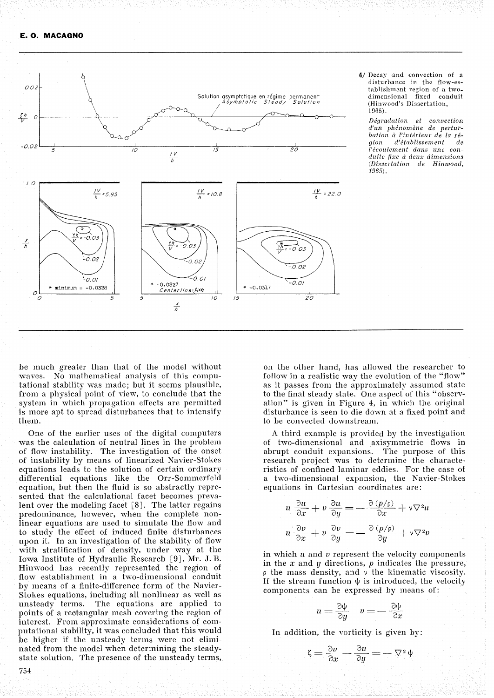

4/ Decay and convection of a<br>disturbance in the flow-establishment region of a twodimensional fixed conduit (Hinwood's Dissertation, 1965)

Dégradation et convection d'un phénomène de perturbation à l'intérieur de la ré $d'$ établissement aion d e l'écoulement dans une conduite fixe à deux dimensions (Dissertation de Hinwood,  $1965$ .

be much greater than that of the model without waves. No mathematical analysis of this computational stability was made; but it seems plausible, from a physical point of view, to conclude that the system in which propagation effects are permitted is more apt to spread disturbances that to intensify them.

One of the earlier uses of the digital computers was the calculation of neutral lines in the problem of flow instability. The investigation of the onset of instability by means of linearized Navier-Stokes equations leads to the solution of certain ordinary differential equations like the Orr-Sommerfeld equation, but then the fluid is so abstractly represented that the calculational facet becomes prevalent over the modeling facet  $\lceil 8 \rceil$ . The latter regains predominance, however, when the complete nonlinear equations are used to simulate the flow and to study the effect of induced finite disturbances upon it. In an investigation of the stability of flow with stratification of density, under way at the Iowa Institute of Hydraulic Research [9], Mr. J. B. Hinwood has recently represented the region of flow establishment in a two-dimensional conduit by means of a finite-difference form of the Navier-Stokes equations, including all nonlinear as well as unsteady terms. The equations are applied to points of a rectangular mesh covering the region of interest. From approximate considerations of computational stability, it was concluded that this would be higher if the unsteady terms were not eliminated from the model when determining the steadystate solution. The presence of the unsteady terms, on the other hand, has allowed the researcher to follow in a realistic way the evolution of the "flow" as it passes from the approximately assumed state to the final steady state. One aspect of this "observation" is given in Figure 4, in which the original disturbance is seen to die down at a fixed point and to be convected downstream.

A third example is provided by the investigation of two-dimensional and axisymmetric flows in abrupt conduit expansions. The purpose of this research project was to determine the characteristics of confined laminar eddies. For the case of a two-dimensional expansion, the Navier-Stokes equations in Cartesian coordinates are:

$$
u \frac{\partial u}{\partial x} + v \frac{\partial u}{\partial y} = -\frac{\partial (p/\rho)}{\partial x} + v \nabla^2 u
$$
  

$$
u \frac{\partial v}{\partial x} + v \frac{\partial v}{\partial y} = -\frac{\partial (p/\rho)}{\partial y} + v \nabla^2 v
$$

in which  $u$  and  $v$  represent the velocity components in the  $x$  and  $y$  directions,  $p$  indicates the pressure,  $\rho$  the mass density, and  $\nu$  the kinematic viscosity. If the stream function  $\psi$  is introduced, the velocity components can be expressed by means of:

$$
u = \frac{\partial \psi}{\partial y} \quad v = -\frac{\partial \psi}{\partial x}
$$

In addition, the vorticity is given by:

$$
\zeta = \frac{\partial v}{\partial x} - \frac{\partial u}{\partial y} = -\nabla^2 \psi
$$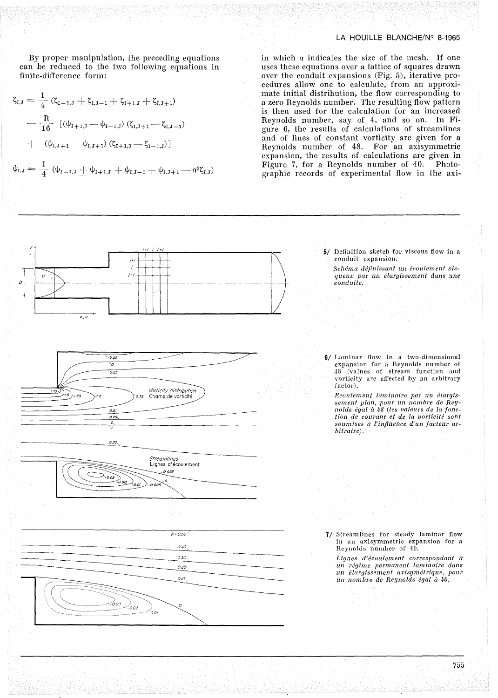By proper manipulation, the preceding equations can be reduced to the two following equations in finite-difference form:

$$
\zeta_{I,J} = \frac{1}{4} (\zeta_{I-1,J} + \zeta_{I,J-1} + \zeta_{I+1,J} + \zeta_{I,J+1})
$$

$$
- \frac{R}{16} [(\psi_{I+1,J} - \psi_{I-1,J}) (\zeta_{I,J+1} - \zeta_{I,J-1})
$$

$$
+ (\psi_{I,J+1} - \psi_{I,J+1}) (\zeta_{I+1,J} - \zeta_{I-1,J})]
$$

 $\psi_{\mathrm{I},\mathrm{J}} = \frac{1}{4} (\psi_{\mathrm{I}-1,\mathrm{J}} + \psi_{\mathrm{I}+1,\mathrm{J}} + \psi_{\mathrm{I},\mathrm{J}-1} + \psi_{\mathrm{I},\mathrm{J}+1} - a^2 \zeta_{\mathrm{I},\mathrm{J}})$ 

 $\frac{\nu}{\nu}$ 

# LA HOUILLE BLANCHE/Nº 8-1965

5/ Definition sketch for viscous flow in a

Schéma définissant un écoulement vis-

conduit expansion.

in which  $\alpha$  indicates the size of the mesh. If one uses these equations over a lattice of squares drawn over the conduit expansions (Fig. 5), iterative procedures allow one to calculate, from an approximate initial distribution, the flow corresponding to<br>a zero Reynolds number. The resulting flow pattern is then used for the calculation for an increased Reynolds number, say of 4, and so on. In Figure 6, the results of calculations of streamlines and of lines of constant vorticity are given for a Reynolds number of 48. For an axisymmetric expansion, the results of calculations are given in Figure 7, for a Reynolds number of 40. Photographic records of experimental flow in the axi-

queux par un élargissement dans une  $x, y$  $\frac{1}{6.025}$ 6/ Laminar flow in a two-dimensional expansion for a Reynolds number of<br>48 (values of stream function and ▽  $0.25$ vorticity are affected by an arbitrary factor). *Vorticity distribution*<br>Champ de vorticité  $1.75$  $(1.5)_{1.25}$ Ecoulement laminaire par un élargissement plan, pour un nombre de Reynolds égal à 48 (les valeurs de la fonc- $0.5,$ tion de courant et de la vorticité sont  $0.25$ soumises à l'influence d'un facteur ar- $\frac{1}{\sqrt{2}}$ bitraire).  $0.33$ *Streamlines*<br>Lignes d'écoulement  $0.025$  $-0.02$ o.oi 7/ Streamlines for steady laminar flow  $V$  = 0.50 in an axisymmetric expansion for a 040 Reynolds number of 40. 030 Lignes d'écoulement correspondant à un régime permanent laminaire dans 0.20 un élargissement axisymétrique, pour 010 un nombre de Reynolds égal à 40. .<br>003 :00г :00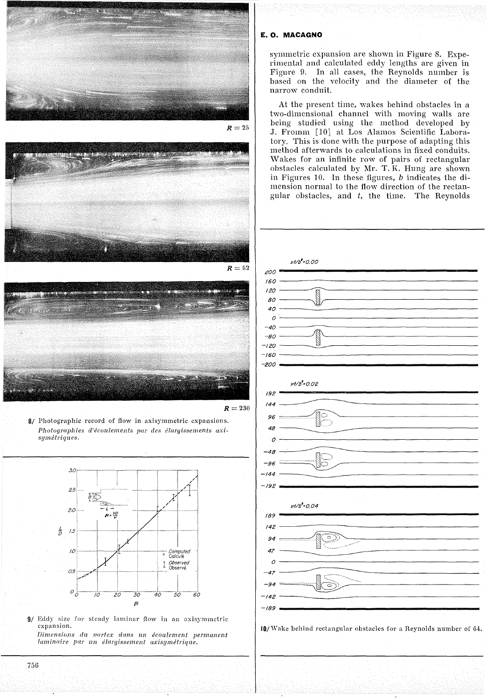

 $R=25$ 





8/ Photographic record of flow in axisymmetric expansions. *Photographies d'écoulements par des élaryissements axisymétriques.*



9/ Eddy size for steady laminar flow in an axisymmetric expansion. *Dimensions du vortex dans llll écoulement permanent laminaire par un élaryissement a:risymétrique.*

## **E. O. MACAGNO**

symmetric expansion are shown in Figure 8. Experimental and calculated eddy lengths are given in Figure 9. In all cases, the Reynolds number is based on the velocity and the diameter of the narrow conduit.

At the present time, wakes behind obstacles in a two-dimensional channel with moving walls are being studied using the method developed by J. Fromm [10] at Los Alamos Scientific Laboratory. This is done with the purpose of adapting this method afterwards to calculations in fixed conduits. Wakes for an infinite row of pairs of rectangular obstacles calculated by Mr. T. K. Hung are shown in Figures 10. In these figures,  $b$  indicates the dimension normal to the flow direction of the reetangular obstacles, and *t,* the time. The Reynolds



10/ Wake behind rectangular obstacles for a Reynolds number of 64.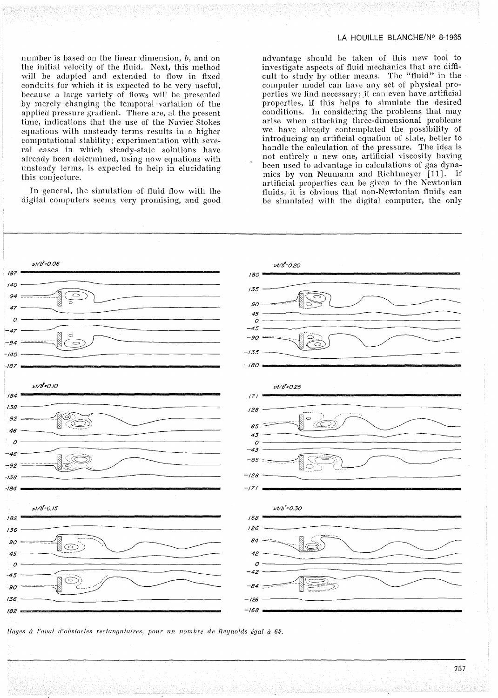number is based on the linear dimension,  $b$ , and on the initial velocity of the fluid. Next, this method will be adapted and extended to flow in fixed conduits for which it is expected to be very useful, hecause a large variety of flows will be presented by merely changing the temporal variation of the applied pressure gradient. There are, at the present time, indications that the use of the Navier-Stokes equations with unsteady terms results in a higher computational stability; experimentation with severaI cases in which steady-state solutions have already been determined, using now equations with unsteady terms, is expected to help in elucidating this conjecture.

In general, the simulation of fluid flow with the digital computers seems very promising, and good

advantage should he taken of this new tool to investigate aspects of fluid mechanics that are difficult to study by other means. The "fluid" in the computer model can have any set of physical properties we find necessary; it can even have artificial properties, if this helps to simulate the desired conditions. In considering the prohlems that may arise when attacking three-dimensional prohlems we have already contemplated the possihility of introducing an artificial equation of state, better to handle the calculation of the pressure. The idea is not entirely a new one, artificial viscosity having been used to advantage in calculations of gas dynamics by von Neumann and Richtmeyer [11]. If artificial properties can be given to the Newtonian fluids, it is obvious that non-Newtonian fluids can be simulated with the digital computer, the only



*/layes à l'aoal d'obstacles reetan{jlIlaires, pOlIr !ln nombre de Reynolds égal à 64·.*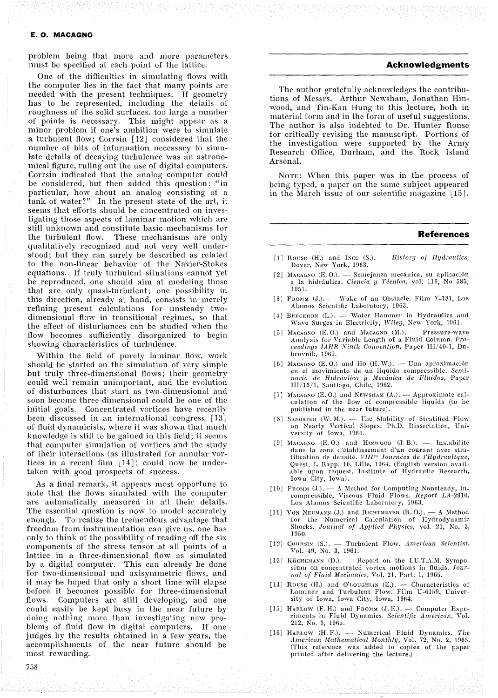problem being that more and more parameters must be specified at each point of the lattice.

One of the difIiculties in simulating flows with the computer lies in the fact that many points are needed with the present techniques. If geometry has to be represented, including the details of roughness of the solid surfaces, too large a number of points is necessary. This might appear as a minor problem if one's ambition were to simulate a turbulent flow; Corrsin [12] considered that the number of bits of information necessary to simulate details of decaying turbulence was an astronomical figure, ruling out the use of digital computers. Corrsin indicated that the analog computer could be considered, but then added this question: "in particular, how about an analog consisting of a tank of water?" In the present state of the art, it seems that efforts should be concentrated on investigating those aspects of laminar motion which are still unknown and constitute basic mechanisms for the turbulent flow. These mechanisms are only qualitatively recognized and not very well understood; but they can surely be described as related to the non-linear behavior of the Navier-Stokes equations. If truly turbulent situations cannot yet be reproduced, one should aim at modeling those that are only quasi-turbulent; one possibility in this direction, already at hand, consists in merely refining present calculations for unsteady twodimensiona! flow in transitional regimes, so that the effect of disturbances can be studied when the flow becomes sufficiently disorganized to begin showing characteristics of turbulence.

\Vithin the field of purely laminar flow, work should be started on the simulation of very simple but truly three-dimensional flows; their geometry could well remain unimportant, and the evolution of disturbances that start as two-dimensiona! and soon become three-dimensional could be one of the initial goals. Concentrated vortices have recently been discussed in an international congress [13] of fluid dynamicists, where it was shown that much knowledge is still to be gained in this field; it seems that computer simulation of vortices and the study of their interactions (as illustrated for annular vortices in a recent film [14]) could now be undertaken with good prospects of success.

As a final remark, it appears most opportune to note that the flows simulated with the computer are automatically measured in aIl their details. The essential question is now to model accurately enough. To realize the tremendous advantage that freedom from instrumentation can give us, one has only to think of the possibility of reading off the six components of the stress tensor at aIl points of a lattice in a three-dimensional flow as simulated by a digital computer. This can already be done for two-dimensional and axisymmetric flows, and it may be hoped that only a short time will elapse before it becomes possible for three-dimensional flows. Computers are still developing, and one could easily be kept busy in the near future by doing nothing more than investigating new problems of fluid flow in digital computers. If one judges by the results obtained in a few years, the accomplishments of the near future should be most rewarding.

# **Acknowledgments**

The author gratefully acknowledges the contributions of Messrs. Arthur Newsham, Jonathan Hinwood, and Tin-Kan Hung to this lecture, both in material form and in the form of useful suggestions. The author is also indebted to Dr. Hunter Rouse for critically revising the manuscript. Portions of the investigation were supported by the Army Research Office, Durham, and the Rock Island Arsenal.

NOTE: When this paper was in the process of being typed, a paper on the same subject appeared in the March issue of our scientific magazine [15].

#### **References**

- $[1]$  Rouse (H.) and INCE (S.). *History of Hydraulics*, Dover, New York, 1963.
- [2] MACAGNO (E.O.). Semejanza mecánica, su aplicación a la hidraulica. *Ciencia y Técnica,* vol. 116, No 585, 1951.
- [3] FROMM  $(J)$ . Wake of an Obstacle. Film Y-181, Los Alamos Scientific Laboratory, 1963.
- $[4]$  BERGERON (L.). Water Hammer in Hydraulics and Wave Surges in Electricity, *Wiley*, New York, 1961.
- [5] MACAGNO (E.O.) and MACAGNO (M.). Pressure-wave Analysis for Variable Length of a Fluid Column. *Proceedings IAHR Nin/il Convention,* Paper III/40-1, Dubrovnik, 1961.
- [6] MACAGNO (E.O.) and Ho (H.W.). Una aproximación en el movimiento de un liquido compressible. *Sem.inario de Hidrâulica y JUecânic'il de Fillidos,* Paper III/13/1, Santiago, Chile, 1962.
- [7] MACAGNO (E.O.) and NEWSHAM  $(A.)$ . Approximate calculation of the flow of compressible liquids (to be pnblished in the near future).
- [8] SANGSTER (W. M.). The Stability of Stratified Flow on Nearly Vertical Slopes. Ph.D. Dissertation, University of Iowa, 1964.
- [9] MACAGNO  $(E. 0.)$  and HINWOOD  $(J. B.)$ . Instabilité dans la zone d'établissement d'un courant nvec stratification de densité. *VII]'" .Jollrnées de l'Hydrlllllique,* Quest. I, Rapp. 10, Lille, 1964. (English version available upon reqnest, Institute of Hydraulic Hesearch, Iown City, Iowa).
- [10] FROMM (J.).  $-$  A Method for Computing Nonsteady, Incompressihle, Viscous Fluid Flows. *Report LA-2910,* Los Alamos Scientific Laboratory, 1963.
- [11] VON NEUMANN (J.) and RICHTMEYER  $(R, D)$ . A Method for the Numerical Calculation of Hydrodynamic Shocks. *Journal of Applied Physics*, vol. 21, No. 3, 1950.
- [12] CORRSIN (S.). Turbulent Flow. American Scientist, Vol. 49, No. 3, 1961.
- [13] KÜCHEMANN (D.). Report on the I.U.T.A.M. Symposium on concentrated vortex motions in fluids. Jour*nal of Fluid Mechanics, Vol. 21, Part. 1, 1965.*
- [14] ROUSE (H.) and O'LOUGHLIN  $(E)$ . Characteristics of Laminar and Turbulent Flow. Film U-6159, University of Iowa, Iowa City, Iowa, 1964.
- [15] HARLOW  $(F. H.)$  and FROMM  $(J. E.)$ . Computer Experiments in F1uid Dynamics. *Scientific American,* Vol. 212, No. 3, 1965.
- [16] HARLOW (H. F.). Numerical Fluid Dynamics. The *American Mathematical Monthly,* Vol. 72, No. 2, 1965. (This reference wasadded to eopies of the paper printed after delivering the lecture.)